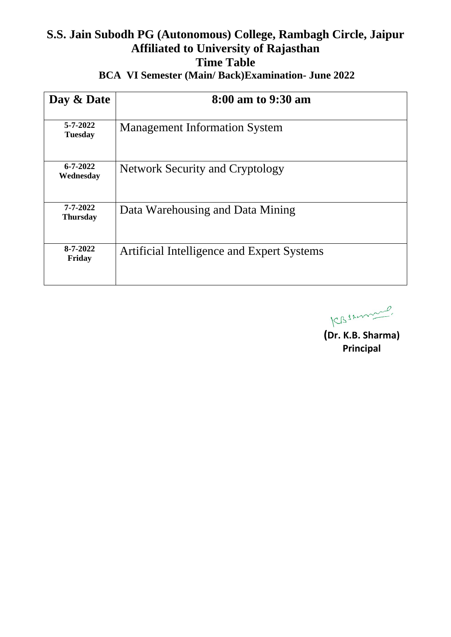# **S.S. Jain Subodh PG (Autonomous) College, Rambagh Circle, Jaipur Affiliated to University of Rajasthan Time Table**

| Day & Date                       | 8:00 am to 9:30 am                         |
|----------------------------------|--------------------------------------------|
| $5 - 7 - 2022$<br><b>Tuesday</b> | <b>Management Information System</b>       |
| $6 - 7 - 2022$<br>Wednesday      | <b>Network Security and Cryptology</b>     |
| 7-7-2022<br><b>Thursday</b>      | Data Warehousing and Data Mining           |
| 8-7-2022<br>Friday               | Artificial Intelligence and Expert Systems |

 **BCA VI Semester (Main/ Back)Examination- June 2022** 

KBSzonnel.

**(Dr. K.B. Sharma) Principal**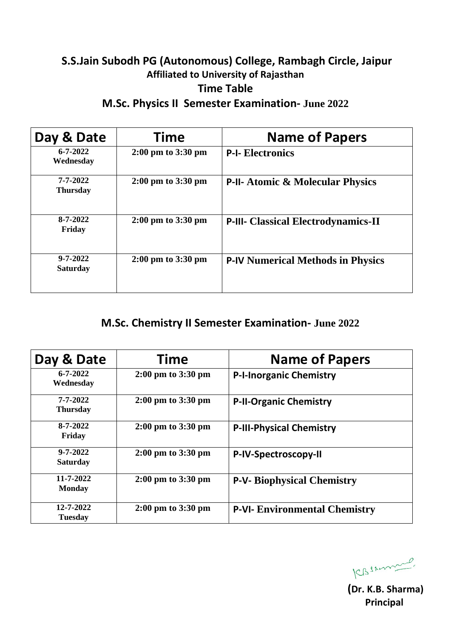# **S.S.Jain Subodh PG (Autonomous) College, Rambagh Circle, Jaipur Affiliated to University of Rajasthan Time Table**

**M.Sc. Physics II Semester Examination- June 2022**

| Day & Date                        | Time                                   | <b>Name of Papers</b>                       |
|-----------------------------------|----------------------------------------|---------------------------------------------|
| $6 - 7 - 2022$<br>Wednesday       | $2:00 \text{ pm}$ to $3:30 \text{ pm}$ | <b>P-I- Electronics</b>                     |
| 7-7-2022<br><b>Thursday</b>       | $2:00 \text{ pm}$ to $3:30 \text{ pm}$ | <b>P-II- Atomic &amp; Molecular Physics</b> |
| $8 - 7 - 2022$<br>Friday          | $2:00 \text{ pm}$ to $3:30 \text{ pm}$ | <b>P-III- Classical Electrodynamics-II</b>  |
| $9 - 7 - 2022$<br><b>Saturday</b> | $2:00 \text{ pm}$ to $3:30 \text{ pm}$ | <b>P-IV Numerical Methods in Physics</b>    |

### **M.Sc. Chemistry II Semester Examination- June 2022**

| Day & Date                        | Time                                   | <b>Name of Papers</b>                |
|-----------------------------------|----------------------------------------|--------------------------------------|
| $6 - 7 - 2022$<br>Wednesday       | $2:00 \text{ pm}$ to $3:30 \text{ pm}$ | <b>P-I-Inorganic Chemistry</b>       |
| $7 - 7 - 2022$<br><b>Thursday</b> | $2:00 \text{ pm}$ to $3:30 \text{ pm}$ | <b>P-II-Organic Chemistry</b>        |
| $8 - 7 - 2022$<br>Friday          | $2:00 \text{ pm}$ to $3:30 \text{ pm}$ | <b>P-III-Physical Chemistry</b>      |
| $9 - 7 - 2022$<br><b>Saturday</b> | $2:00 \text{ pm}$ to $3:30 \text{ pm}$ | P-IV-Spectroscopy-II                 |
| 11-7-2022<br><b>Monday</b>        | $2:00 \text{ pm}$ to $3:30 \text{ pm}$ | <b>P-V- Biophysical Chemistry</b>    |
| 12-7-2022<br><b>Tuesday</b>       | $2:00 \text{ pm}$ to $3:30 \text{ pm}$ | <b>P-VI- Environmental Chemistry</b> |

KBszmand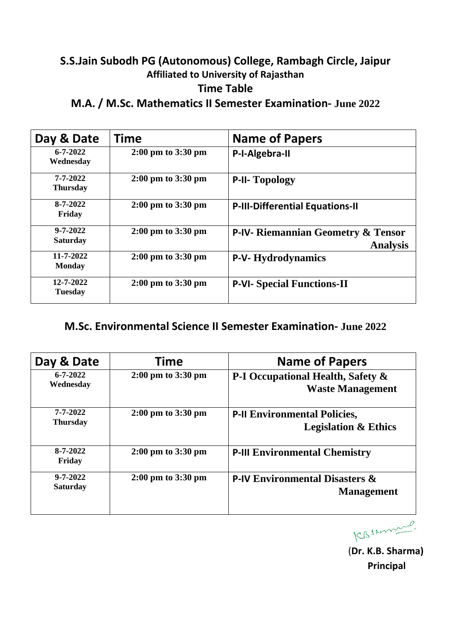## **S.S.Jain Subodh PG (Autonomous) College, Rambagh Circle, Jaipur Affiliated to University of Rajasthan Time Table**

**M.A. / M.Sc. Mathematics II Semester Examination- June 2022**

| Day & Date                        | Time                                   | <b>Name of Papers</b>                                            |
|-----------------------------------|----------------------------------------|------------------------------------------------------------------|
| $6 - 7 - 2022$<br>Wednesday       | $2:00 \text{ pm}$ to $3:30 \text{ pm}$ | P-I-Algebra-II                                                   |
| 7-7-2022<br><b>Thursday</b>       | $2:00 \text{ pm}$ to $3:30 \text{ pm}$ | <b>P-II- Topology</b>                                            |
| 8-7-2022<br>Friday                | $2:00 \text{ pm}$ to $3:30 \text{ pm}$ | <b>P-III-Differential Equations-II</b>                           |
| $9 - 7 - 2022$<br><b>Saturday</b> | $2:00 \text{ pm}$ to $3:30 \text{ pm}$ | <b>P-IV- Riemannian Geometry &amp; Tensor</b><br><b>Analysis</b> |
| 11-7-2022<br><b>Monday</b>        | $2:00 \text{ pm}$ to $3:30 \text{ pm}$ | <b>P-V- Hydrodynamics</b>                                        |
| 12-7-2022<br><b>Tuesday</b>       | $2:00 \text{ pm}$ to $3:30 \text{ pm}$ | <b>P-VI- Special Functions-II</b>                                |

### **M.Sc. Environmental Science II Semester Examination- June 2022**

| Day & Date                        | Time                                   | <b>Name of Papers</b>                                                  |
|-----------------------------------|----------------------------------------|------------------------------------------------------------------------|
| $6 - 7 - 2022$<br>Wednesday       | 2:00 pm to 3:30 pm                     | P-I Occupational Health, Safety &<br><b>Waste Management</b>           |
| 7-7-2022<br><b>Thursday</b>       | $2:00 \text{ pm}$ to $3:30 \text{ pm}$ | <b>P-II Environmental Policies,</b><br><b>Legislation &amp; Ethics</b> |
| $8 - 7 - 2022$<br>Friday          | $2:00 \text{ pm}$ to $3:30 \text{ pm}$ | <b>P-III Environmental Chemistry</b>                                   |
| $9 - 7 - 2022$<br><b>Saturday</b> | $2:00 \text{ pm}$ to $3:30 \text{ pm}$ | <b>P-IV Environmental Disasters &amp;</b><br><b>Management</b>         |

CBSAmmen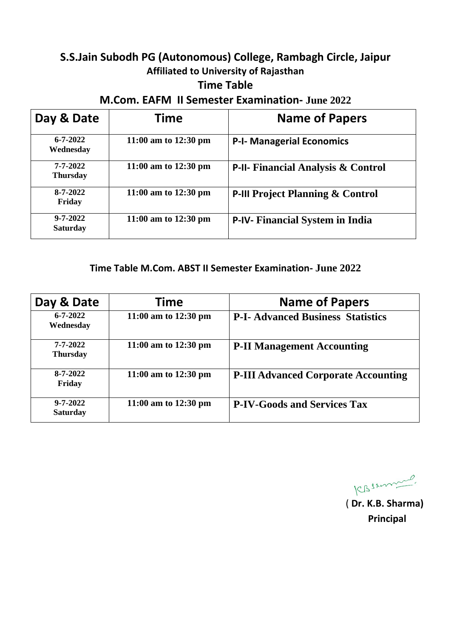## **S.S.Jain Subodh PG (Autonomous) College, Rambagh Circle, Jaipur Affiliated to University of Rajasthan**

#### **Time Table**

**M.Com. EAFM II Semester Examination- June 2022**

| Day & Date                        | <b>Time</b>                    | <b>Name of Papers</b>                         |
|-----------------------------------|--------------------------------|-----------------------------------------------|
| $6 - 7 - 2022$<br>Wednesday       | 11:00 am to $12:30 \text{ pm}$ | <b>P-I- Managerial Economics</b>              |
| 7-7-2022<br><b>Thursday</b>       | 11:00 am to $12:30 \text{ pm}$ | <b>P-II- Financial Analysis &amp; Control</b> |
| $8 - 7 - 2022$<br>Friday          | 11:00 am to $12:30 \text{ pm}$ | <b>P-III Project Planning &amp; Control</b>   |
| $9 - 7 - 2022$<br><b>Saturday</b> | 11:00 am to $12:30 \text{ pm}$ | <b>P-IV- Financial System in India</b>        |

#### **Time Table M.Com. ABST II Semester Examination- June 2022**

| Day & Date                        | <b>Time</b>                    | <b>Name of Papers</b>                      |
|-----------------------------------|--------------------------------|--------------------------------------------|
| $6 - 7 - 2022$<br>Wednesday       | 11:00 am to $12:30 \text{ pm}$ | <b>P-I- Advanced Business Statistics</b>   |
| 7-7-2022<br><b>Thursday</b>       | 11:00 am to $12:30 \text{ pm}$ | <b>P-II Management Accounting</b>          |
| $8 - 7 - 2022$<br>Friday          | 11:00 am to $12:30 \text{ pm}$ | <b>P-III Advanced Corporate Accounting</b> |
| $9 - 7 - 2022$<br><b>Saturday</b> | 11:00 am to $12:30 \text{ pm}$ | <b>P-IV-Goods and Services Tax</b>         |

KBszmand

( **Dr. K.B. Sharma) Principal**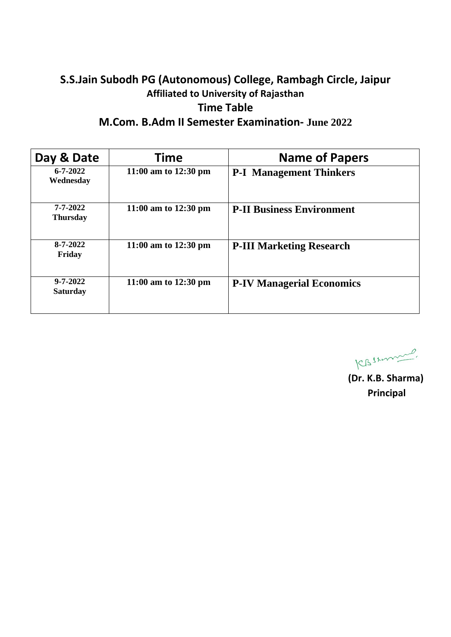#### **S.S.Jain Subodh PG (Autonomous) College, Rambagh Circle, Jaipur Affiliated to University of Rajasthan Time Table M.Com. B.Adm II Semester Examination- June 2022**

| Day & Date                        | Time                           | <b>Name of Papers</b>            |
|-----------------------------------|--------------------------------|----------------------------------|
| $6 - 7 - 2022$<br>Wednesday       | 11:00 am to $12:30 \text{ pm}$ | <b>P-I Management Thinkers</b>   |
| 7-7-2022<br><b>Thursday</b>       | 11:00 am to $12:30 \text{ pm}$ | <b>P-II Business Environment</b> |
| $8 - 7 - 2022$<br>Friday          | 11:00 am to $12:30 \text{ pm}$ | <b>P-III Marketing Research</b>  |
| $9 - 7 - 2022$<br><b>Saturday</b> | 11:00 am to $12:30 \text{ pm}$ | <b>P-IV Managerial Economics</b> |

KBSzonnel.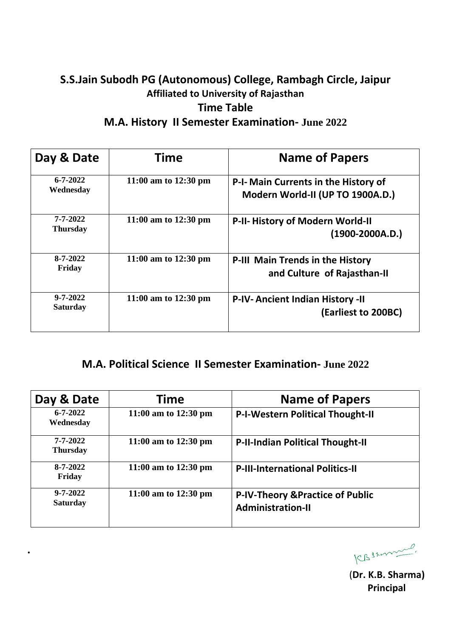### **S.S.Jain Subodh PG (Autonomous) College, Rambagh Circle, Jaipur Affiliated to University of Rajasthan Time Table M.A. History II Semester Examination- June 2022**

| Day & Date                        | <b>Time</b>                    | <b>Name of Papers</b>                                                    |
|-----------------------------------|--------------------------------|--------------------------------------------------------------------------|
| $6 - 7 - 2022$<br>Wednesday       | 11:00 am to $12:30 \text{ pm}$ | P-I- Main Currents in the History of<br>Modern World-II (UP TO 1900A.D.) |
| 7-7-2022<br><b>Thursday</b>       | 11:00 am to $12:30 \text{ pm}$ | P-II-History of Modern World-II<br>$(1900-2000A.D.)$                     |
| $8 - 7 - 2022$<br>Friday          | 11:00 am to $12:30 \text{ pm}$ | <b>P-III Main Trends in the History</b><br>and Culture of Rajasthan-II   |
| $9 - 7 - 2022$<br><b>Saturday</b> | 11:00 am to $12:30 \text{ pm}$ | <b>P-IV-Ancient Indian History -II</b><br>(Earliest to 200BC)            |

#### **M.A. Political Science II Semester Examination- June 2022**

| Day & Date                        | Time                           | <b>Name of Papers</b>                                                   |
|-----------------------------------|--------------------------------|-------------------------------------------------------------------------|
| $6 - 7 - 2022$<br>Wednesday       | 11:00 am to $12:30 \text{ pm}$ | <b>P-I-Western Political Thought-II</b>                                 |
| $7 - 7 - 2022$<br><b>Thursday</b> | 11:00 am to $12:30 \text{ pm}$ | <b>P-II-Indian Political Thought-II</b>                                 |
| $8 - 7 - 2022$<br>Friday          | 11:00 am to $12:30 \text{ pm}$ | <b>P-III-International Politics-II</b>                                  |
| $9 - 7 - 2022$<br><b>Saturday</b> | 11:00 am to $12:30 \text{ pm}$ | <b>P-IV-Theory &amp; Practice of Public</b><br><b>Administration-II</b> |

**.** 

KBSzmana,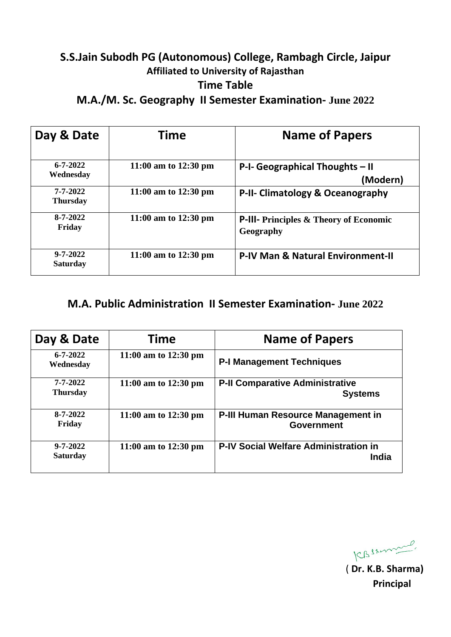#### **S.S.Jain Subodh PG (Autonomous) College, Rambagh Circle, Jaipur Affiliated to University of Rajasthan Time Table M.A./M. Sc. Geography II Semester Examination- June 2022**

**Day & Date Time Name of Papers 6-7-2022 Wednesday** 11:00 am to 12:30 pm  $\vert$  **P-I-** Geographical Thoughts – II  **(Modern) 7-7-2022 Thursday 11:00 am to 12:30 pm P-II- Climatology & Oceanography 8-7-2022 Friday 11:00 am to 12:30 pm P-III- Principles & Theory of Economic Geography 9-7-2022 Saturday 11:00 am to 12:30 pm P-IV Man & Natural Environment-II**

#### **M.A. Public Administration II Semester Examination- June 2022**

| Day & Date                        | Time                           | <b>Name of Papers</b>                                          |
|-----------------------------------|--------------------------------|----------------------------------------------------------------|
| $6 - 7 - 2022$<br>Wednesday       | 11:00 am to $12:30 \text{ pm}$ | <b>P-I Management Techniques</b>                               |
| 7-7-2022<br><b>Thursday</b>       | 11:00 am to $12:30 \text{ pm}$ | <b>P-II Comparative Administrative</b><br><b>Systems</b>       |
| $8 - 7 - 2022$<br>Friday          | 11:00 am to $12:30 \text{ pm}$ | <b>P-III Human Resource Management in</b><br><b>Government</b> |
| $9 - 7 - 2022$<br><b>Saturday</b> | 11:00 am to $12:30 \text{ pm}$ | <b>P-IV Social Welfare Administration in</b><br><b>India</b>   |

KBSzmme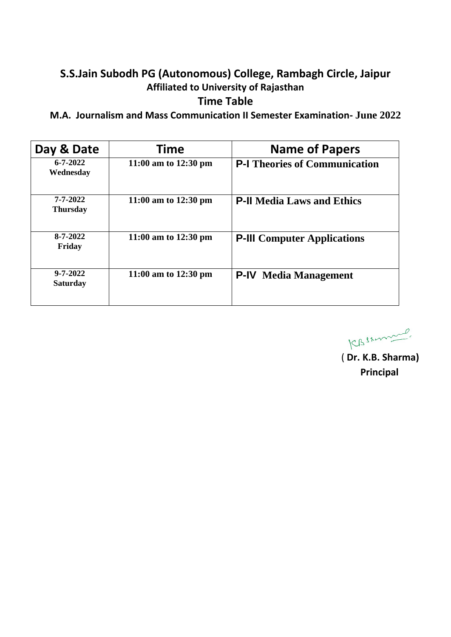## **S.S.Jain Subodh PG (Autonomous) College, Rambagh Circle, Jaipur Affiliated to University of Rajasthan**

#### **Time Table**

**M.A. Journalism and Mass Communication II Semester Examination- June 2022**

| Day & Date                        | Time                           | <b>Name of Papers</b>                |
|-----------------------------------|--------------------------------|--------------------------------------|
| $6 - 7 - 2022$<br>Wednesday       | 11:00 am to $12:30 \text{ pm}$ | <b>P-I Theories of Communication</b> |
| 7-7-2022<br><b>Thursday</b>       | 11:00 am to $12:30 \text{ pm}$ | <b>P-II Media Laws and Ethics</b>    |
| $8 - 7 - 2022$<br>Friday          | 11:00 am to $12:30 \text{ pm}$ | <b>P-III</b> Computer Applications   |
| $9 - 7 - 2022$<br><b>Saturday</b> | 11:00 am to $12:30 \text{ pm}$ | <b>P-IV</b> Media Management         |

KBSzonnel.

( **Dr. K.B. Sharma) Principal**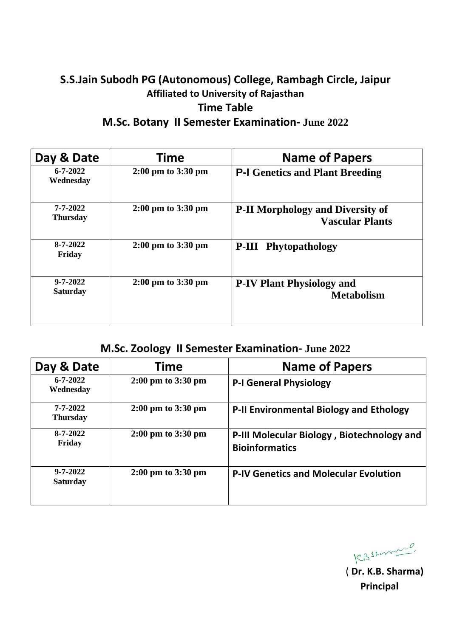### **S.S.Jain Subodh PG (Autonomous) College, Rambagh Circle, Jaipur Affiliated to University of Rajasthan Time Table M.Sc. Botany II Semester Examination- June 2022**

| Day & Date                        | Time                                   | <b>Name of Papers</b>                                             |
|-----------------------------------|----------------------------------------|-------------------------------------------------------------------|
| $6 - 7 - 2022$<br>Wednesday       | $2:00 \text{ pm}$ to $3:30 \text{ pm}$ | <b>P-I Genetics and Plant Breeding</b>                            |
| 7-7-2022<br><b>Thursday</b>       | $2:00 \text{ pm}$ to $3:30 \text{ pm}$ | <b>P-II Morphology and Diversity of</b><br><b>Vascular Plants</b> |
| $8 - 7 - 2022$<br>Friday          | $2:00 \text{ pm}$ to $3:30 \text{ pm}$ | <b>P-III</b> Phytopathology                                       |
| $9 - 7 - 2022$<br><b>Saturday</b> | $2:00 \text{ pm}$ to $3:30 \text{ pm}$ | <b>P-IV Plant Physiology and</b><br><b>Metabolism</b>             |

## **M.Sc. Zoology II Semester Examination- June 2022**

| Day & Date                        | Time                                   | <b>Name of Papers</b>                                               |
|-----------------------------------|----------------------------------------|---------------------------------------------------------------------|
| $6 - 7 - 2022$<br>Wednesday       | $2:00 \text{ pm}$ to $3:30 \text{ pm}$ | <b>P-I General Physiology</b>                                       |
| 7-7-2022<br><b>Thursday</b>       | $2:00 \text{ pm}$ to $3:30 \text{ pm}$ | <b>P-II Environmental Biology and Ethology</b>                      |
| $8 - 7 - 2022$<br>Friday          | $2:00 \text{ pm}$ to $3:30 \text{ pm}$ | P-III Molecular Biology, Biotechnology and<br><b>Bioinformatics</b> |
| $9 - 7 - 2022$<br><b>Saturday</b> | $2:00 \text{ pm}$ to $3:30 \text{ pm}$ | <b>P-IV Genetics and Molecular Evolution</b>                        |

CBSAmme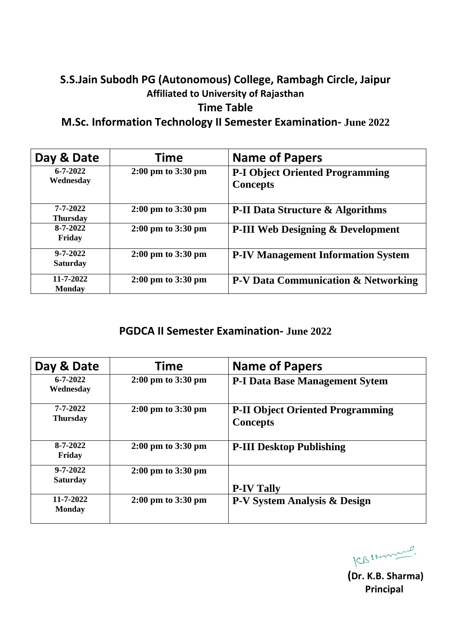### **S.S.Jain Subodh PG (Autonomous) College, Rambagh Circle, Jaipur Affiliated to University of Rajasthan Time Table**

**M.Sc. Information Technology II Semester Examination- June 2022**

| Day & Date                        | <b>Time</b>                            | <b>Name of Papers</b>                                     |
|-----------------------------------|----------------------------------------|-----------------------------------------------------------|
| $6 - 7 - 2022$<br>Wednesday       | $2:00 \text{ pm}$ to $3:30 \text{ pm}$ | <b>P-I Object Oriented Programming</b><br><b>Concepts</b> |
| $7 - 7 - 2022$<br><b>Thursday</b> | $2:00 \text{ pm}$ to $3:30 \text{ pm}$ | <b>P-II Data Structure &amp; Algorithms</b>               |
| $8 - 7 - 2022$<br>Friday          | $2:00 \text{ pm}$ to $3:30 \text{ pm}$ | <b>P-III Web Designing &amp; Development</b>              |
| $9 - 7 - 2022$<br><b>Saturday</b> | $2:00 \text{ pm}$ to $3:30 \text{ pm}$ | <b>P-IV Management Information System</b>                 |
| 11-7-2022<br><b>Monday</b>        | $2:00 \text{ pm}$ to $3:30 \text{ pm}$ | <b>P-V Data Communication &amp; Networking</b>            |

#### **PGDCA II Semester Examination- June 2022**

| Day & Date                        | Time                                   | <b>Name of Papers</b>                                      |
|-----------------------------------|----------------------------------------|------------------------------------------------------------|
| $6 - 7 - 2022$<br>Wednesday       | $2:00 \text{ pm}$ to $3:30 \text{ pm}$ | <b>P-I Data Base Management Sytem</b>                      |
| $7 - 7 - 2022$<br><b>Thursday</b> | $2:00 \text{ pm}$ to $3:30 \text{ pm}$ | <b>P-II Object Oriented Programming</b><br><b>Concepts</b> |
| 8-7-2022<br>Friday                | $2:00 \text{ pm}$ to $3:30 \text{ pm}$ | <b>P-III Desktop Publishing</b>                            |
| $9 - 7 - 2022$<br><b>Saturday</b> | $2:00 \text{ pm}$ to $3:30 \text{ pm}$ | <b>P-IV Tally</b>                                          |
| 11-7-2022<br><b>Monday</b>        | $2:00 \text{ pm}$ to $3:30 \text{ pm}$ | P-V System Analysis & Design                               |

**(Dr. K.B. Sharma)** 

 **Principal**